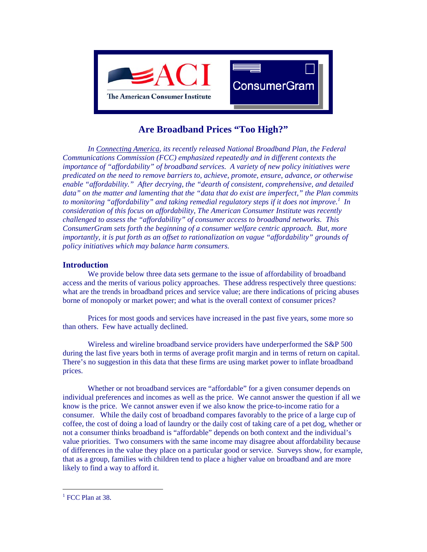

# **Are Broadband Prices "Too High?"**

*In Connecting America, its recently released National Broadband Plan, the Federal Communications Commission (FCC) emphasized repeatedly and in different contexts the importance of "affordability" of broadband services. A variety of new policy initiatives were predicated on the need to remove barriers to, achieve, promote, ensure, advance, or otherwise enable "affordability." After decrying, the "dearth of consistent, comprehensive, and detailed data" on the matter and lamenting that the "data that do exist are imperfect," the Plan commits to monitoring "affordability" and taking remedial regulatory steps if it does not improve. [1](#page-0-0) In consideration of this focus on affordability, The American Consumer Institute was recently challenged to assess the "affordability" of consumer access to broadband networks. This ConsumerGram sets forth the beginning of a consumer welfare centric approach. But, more importantly, it is put forth as an offset to rationalization on vague "affordability" grounds of policy initiatives which may balance harm consumers.* 

## **Introduction**

We provide below three data sets germane to the issue of affordability of broadband access and the merits of various policy approaches. These address respectively three questions: what are the trends in broadband prices and service value; are there indications of pricing abuses borne of monopoly or market power; and what is the overall context of consumer prices?

Prices for most goods and services have increased in the past five years, some more so than others. Few have actually declined.

Wireless and wireline broadband service providers have underperformed the S&P 500 during the last five years both in terms of average profit margin and in terms of return on capital. There's no suggestion in this data that these firms are using market power to inflate broadband prices.

Whether or not broadband services are "affordable" for a given consumer depends on individual preferences and incomes as well as the price. We cannot answer the question if all we know is the price. We cannot answer even if we also know the price-to-income ratio for a consumer. While the daily cost of broadband compares favorably to the price of a large cup of coffee, the cost of doing a load of laundry or the daily cost of taking care of a pet dog, whether or not a consumer thinks broadband is "affordable" depends on both context and the individual's value priorities. Two consumers with the same income may disagree about affordability because of differences in the value they place on a particular good or service. Surveys show, for example, that as a group, families with children tend to place a higher value on broadband and are more likely to find a way to afford it.

 $\overline{a}$ 

<span id="page-0-0"></span><sup>&</sup>lt;sup>1</sup> FCC Plan at 38.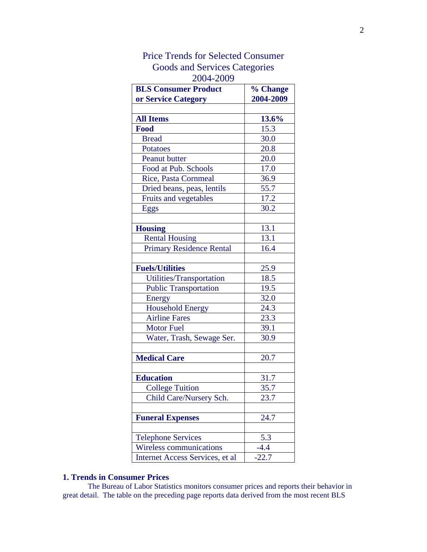| <b>BLS Consumer Product</b><br>or Service Category | % Change<br>2004-2009 |
|----------------------------------------------------|-----------------------|
|                                                    |                       |
| <b>All Items</b>                                   | 13.6%                 |
| Food                                               | 15.3                  |
| <b>Bread</b>                                       | 30.0                  |
| <b>Potatoes</b>                                    | 20.8                  |
| <b>Peanut butter</b>                               | 20.0                  |
| Food at Pub. Schools                               | 17.0                  |
| <b>Rice, Pasta Cornmeal</b>                        | 36.9                  |
| Dried beans, peas, lentils                         | 55.7                  |
| Fruits and vegetables                              | 17.2                  |
| Eggs                                               | 30.2                  |
|                                                    |                       |
| <b>Housing</b>                                     | 13.1                  |
| <b>Rental Housing</b>                              | 13.1                  |
| <b>Primary Residence Rental</b>                    | 16.4                  |
|                                                    |                       |
| <b>Fuels/Utilities</b>                             | 25.9                  |
| Utilities/Transportation                           | 18.5                  |
| <b>Public Transportation</b>                       | 19.5                  |
| Energy                                             | 32.0                  |
| <b>Household Energy</b>                            | 24.3                  |
| <b>Airline Fares</b>                               | 23.3                  |
| <b>Motor Fuel</b>                                  | 39.1                  |
| Water, Trash, Sewage Ser.                          | 30.9                  |
|                                                    |                       |
| <b>Medical Care</b>                                | 20.7                  |
|                                                    |                       |
| <b>Education</b>                                   | 31.7                  |
| <b>College Tuition</b>                             | 35.7                  |
| Child Care/Nursery Sch.                            | 23.7                  |
|                                                    |                       |
| <b>Funeral Expenses</b>                            | 24.7                  |
|                                                    |                       |
| <b>Telephone Services</b>                          | 5.3                   |
| <b>Wireless communications</b>                     | $-4.4$                |
| Internet Access Services, et al                    | $-22.7$               |

# Price Trends for Selected Consumer Goods and Services Categories 2004-2009

## **1. Trends in Consumer Prices**

The Bureau of Labor Statistics monitors consumer prices and reports their behavior in great detail. The table on the preceding page reports data derived from the most recent BLS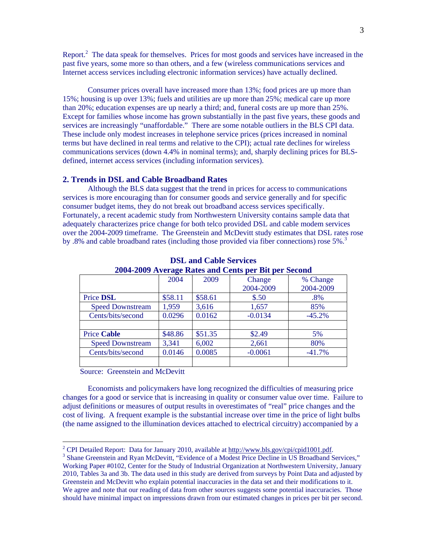Report. $^2$ The data speak for themselves. Prices for most goods and services have increased in the past five years, some more so than others, and a few (wireless communications services and Internet access services including electronic information services) have actually declined.

 Consumer prices overall have increased more than 13%; food prices are up more than 15%; housing is up over 13%; fuels and utilities are up more than 25%; medical care up more than 20%; education expenses are up nearly a third; and, funeral costs are up more than 25%. Except for families whose income has grown substantially in the past five years, these goods and services are increasingly "unaffordable." There are some notable outliers in the BLS CPI data. These include only modest increases in telephone service prices (prices increased in nominal terms but have declined in real terms and relative to the CPI); actual rate declines for wireless communications services (down 4.4% in nominal terms); and, sharply declining prices for BLSdefined, internet access services (including information services).

### **2. Trends in DSL and Cable Broadband Rates**

Although the BLS data suggest that the trend in prices for access to communications services is more encouraging than for consumer goods and service generally and for specific consumer budget items, they do not break out broadband access services specifically. Fortunately, a recent academic study from Northwestern University contains sample data that adequately characterizes price change for both telco provided DSL and cable modem services over the 2004-2009 timeframe. The Greenstein and McDevitt study estimates that DSL rates rose by .8% and cable broadband rates (including those provided via fiber connections) rose 5%.<sup>[3](#page-2-1)</sup>

| 2004-2009 Average Rates and Cents per Bit per Second |         |           |           |  |
|------------------------------------------------------|---------|-----------|-----------|--|
| 2004                                                 | 2009    | Change    | % Change  |  |
|                                                      |         | 2004-2009 | 2004-2009 |  |
| \$58.11                                              | \$58.61 | \$.50     | $.8\%$    |  |
| 1,959                                                | 3,616   | 1,657     | 85%       |  |
| 0.0296                                               | 0.0162  | $-0.0134$ | $-45.2%$  |  |
|                                                      |         |           |           |  |
| \$48.86                                              | \$51.35 | \$2.49    | 5%        |  |
| 3,341                                                | 6,002   | 2,661     | 80%       |  |
| 0.0146                                               | 0.0085  | $-0.0061$ | $-41.7%$  |  |
|                                                      |         |           |           |  |
|                                                      |         |           |           |  |

**DSL and Cable Services 2004-2009 Average Rates and Cents per Bit per Second**

Source: Greenstein and McDevitt

 $\overline{a}$ 

Economists and policymakers have long recognized the difficulties of measuring price changes for a good or service that is increasing in quality or consumer value over time. Failure to adjust definitions or measures of output results in overestimates of "real" price changes and the cost of living. A frequent example is the substantial increase over time in the price of light bulbs (the name assigned to the illumination devices attached to electrical circuitry) accompanied by a

<span id="page-2-0"></span><sup>&</sup>lt;sup>2</sup> CPI Detailed Report: Data for January 2010, available at  $\underline{http://www.bls.gov/cpi/cpid1001.pdf}$ .<br><sup>3</sup> Shane Greenstein and Buen McDovitt, "Evidence of a Modest Price Dealine in US Broedband S

<span id="page-2-1"></span><sup>&</sup>lt;sup>3</sup> Shane Greenstein and Ryan McDevitt, "Evidence of a Modest Price Decline in US Broadband Services," Working Paper #0102, Center for the Study of Industrial Organization at Northwestern University, January 2010, Tables 3a and 3b. The data used in this study are derived from surveys by Point Data and adjusted by Greenstein and McDevitt who explain potential inaccuracies in the data set and their modifications to it. We agree and note that our reading of data from other sources suggests some potential inaccuracies. Those should have minimal impact on impressions drawn from our estimated changes in prices per bit per second.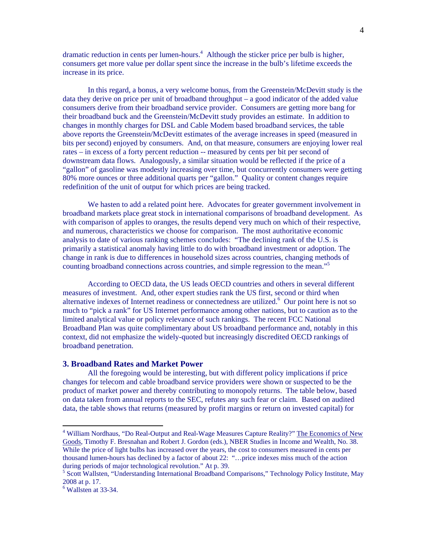dramatic reduction in cents per lumen-hours.<sup>4</sup> Although the sticker price per bulb is higher, consumers get more value per dollar spent since the increase in the bulb's lifetime exceeds the increase in its price.

In this regard, a bonus, a very welcome bonus, from the Greenstein/McDevitt study is the data they derive on price per unit of broadband throughput – a good indicator of the added value consumers derive from their broadband service provider. Consumers are getting more bang for their broadband buck and the Greenstein/McDevitt study provides an estimate. In addition to changes in monthly charges for DSL and Cable Modem based broadband services, the table above reports the Greenstein/McDevitt estimates of the average increases in speed (measured in bits per second) enjoyed by consumers. And, on that measure, consumers are enjoying lower real rates – in excess of a forty percent reduction -- measured by cents per bit per second of downstream data flows. Analogously, a similar situation would be reflected if the price of a "gallon" of gasoline was modestly increasing over time, but concurrently consumers were getting 80% more ounces or three additional quarts per "gallon." Quality or content changes require redefinition of the unit of output for which prices are being tracked.

We hasten to add a related point here. Advocates for greater government involvement in broadband markets place great stock in international comparisons of broadband development. As with comparison of apples to oranges, the results depend very much on which of their respective, and numerous, characteristics we choose for comparison. The most authoritative economic analysis to date of various ranking schemes concludes: "The declining rank of the U.S. is primarily a statistical anomaly having little to do with broadband investment or adoption. The change in rank is due to differences in household sizes across countries, changing methods of counting broadband connections across countries, and simple regression to the mean."<sup>[5](#page-3-1)</sup>

 According to OECD data, the US leads OECD countries and others in several different measures of investment. And, other expert studies rank the US first, second or third when alternative indexes of Internet readiness or connectedness are utilized.<sup>[6](#page-3-2)</sup> Our point here is not so much to "pick a rank" for US Internet performance among other nations, but to caution as to the limited analytical value or policy relevance of such rankings. The recent FCC National Broadband Plan was quite complimentary about US broadband performance and, notably in this context, did not emphasize the widely-quoted but increasingly discredited OECD rankings of broadband penetration.

### **3. Broadband Rates and Market Power**

All the foregoing would be interesting, but with different policy implications if price changes for telecom and cable broadband service providers were shown or suspected to be the product of market power and thereby contributing to monopoly returns. The table below, based on data taken from annual reports to the SEC, refutes any such fear or claim. Based on audited data, the table shows that returns (measured by profit margins or return on invested capital) for

 $\overline{a}$ 

<span id="page-3-0"></span><sup>&</sup>lt;sup>4</sup> William Nordhaus, "Do Real-Output and Real-Wage Measures Capture Reality?" The Economics of New Goods, Timothy F. Bresnahan and Robert J. Gordon (eds.), NBER Studies in Income and Wealth, No. 38. While the price of light bulbs has increased over the years, the cost to consumers measured in cents per thousand lumen-hours has declined by a factor of about 22: "…price indexes miss much of the action during periods of major technological revolution." At p. 39.

<span id="page-3-1"></span><sup>&</sup>lt;sup>5</sup> Scott Wallsten, "Understanding International Broadband Comparisons," Technology Policy Institute, May 2008 at p. 17.

<span id="page-3-2"></span><sup>6</sup> Wallsten at 33-34.